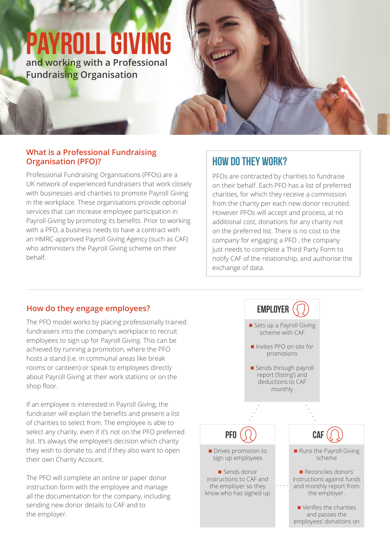# **payroll giving**

**and working with a Professional Fundraising Organisation**

#### **What is a Professional Fundraising Organisation (PFO)?**

Professional Fundraising Organisations (PFOs) are a UK network of experienced fundraisers that work closely with businesses and charities to promote Payroll Giving in the workplace. These organisations provide optional services that can increase employee participation in Payroll Giving by promoting its benefits. Prior to working with a PFO, a business needs to have a contract with an HMRC-approved Payroll Giving Agency (such as CAF) who administers the Payroll Giving scheme on their behalf.

## **How do they work?**

PFOs are contracted by charities to fundraise on their behalf. Each PFO has a list of preferred charities, for which they receive a commission from the charity per each new donor recruited. However PFOs will accept and process, at no additional cost, donations for any charity not on the preferred list. There is no cost to the company for engaging a PFO , the company just needs to complete a Third Party Form to notify CAF of the relationship, and authorise the exchange of data.

### **How do they engage employees?**

The PFO model works by placing professionally trained fundraisers into the company's workplace to recruit employees to sign up for Payroll Giving. This can be achieved by running a promotion, where the PFO hosts a stand (i.e. in communal areas like break rooms or canteen) or speak to employees directly about Payroll Giving at their work stations or on the shop floor.

If an employee is interested in Payroll Giving, the fundraiser will explain the benefits and present a list of charities to select from. The employee is able to select any charity, even if it's not on the PFO preferred list. It's always the employee's decision which charity they wish to donate to, and if they also want to open their own Charity Account.

The PFO will complete an online or paper donor instruction form with the employee and manage all the documentation for the company, including sending new donor details to CAF and to the employer.